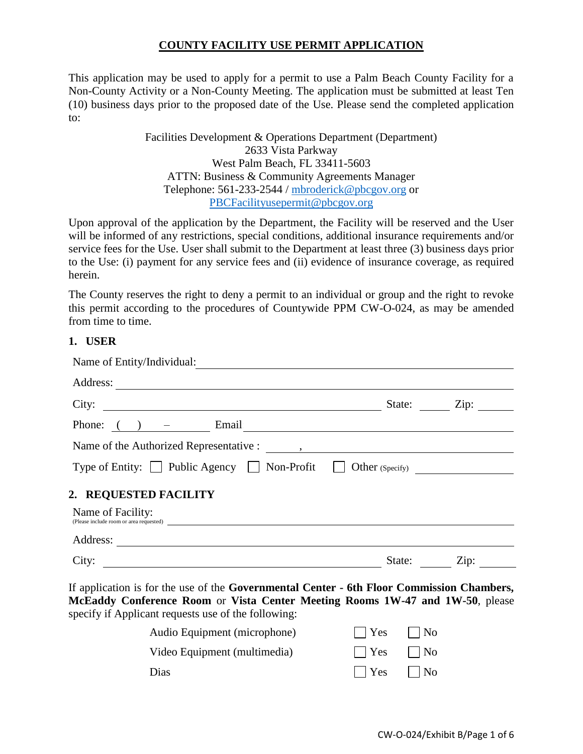# **COUNTY FACILITY USE PERMIT APPLICATION**

This application may be used to apply for a permit to use a Palm Beach County Facility for a Non-County Activity or a Non-County Meeting. The application must be submitted at least Ten (10) business days prior to the proposed date of the Use. Please send the completed application to:

> Facilities Development & Operations Department (Department) 2633 Vista Parkway West Palm Beach, FL 33411-5603 ATTN: Business & Community Agreements Manager Telephone: 561-233-2544 / [mbroderick@pbcgov.org](mailto:mbroderick@pbcgov.org) or [PBCFacilityusepermit@pbcgov.org](mailto:PBCFacilityusepermit@pbcgov.org)

Upon approval of the application by the Department, the Facility will be reserved and the User will be informed of any restrictions, special conditions, additional insurance requirements and/or service fees for the Use. User shall submit to the Department at least three (3) business days prior to the Use: (i) payment for any service fees and (ii) evidence of insurance coverage, as required herein.

The County reserves the right to deny a permit to an individual or group and the right to revoke this permit according to the procedures of Countywide PPM CW-O-024, as may be amended from time to time.

#### **1. USER**

| Address:                                                                                                 | State: Zip: |
|----------------------------------------------------------------------------------------------------------|-------------|
| City: $\qquad \qquad \qquad$                                                                             |             |
| Phone: $\left(\begin{array}{ccc}\n\end{array}\right)$ - Email                                            |             |
|                                                                                                          |             |
|                                                                                                          |             |
|                                                                                                          |             |
|                                                                                                          |             |
|                                                                                                          |             |
| Type of Entity: □ Public Agency □ Non-Profit □ Other (Specify) ________________<br>2. REQUESTED FACILITY |             |
| Name of Facility:<br>(Please include room or area requested)                                             |             |

**McEaddy Conference Room** or **Vista Center Meeting Rooms 1W-47 and 1W-50**, please specify if Applicant requests use of the following:

| Audio Equipment (microphone) | $\vert$ Yes $\vert$   No   |  |
|------------------------------|----------------------------|--|
| Video Equipment (multimedia) | $ $ $ $ $Yes$ $ $ $ $ $No$ |  |
| Dias                         | $ $ $ $ $Yes$ $ $ $ $ $No$ |  |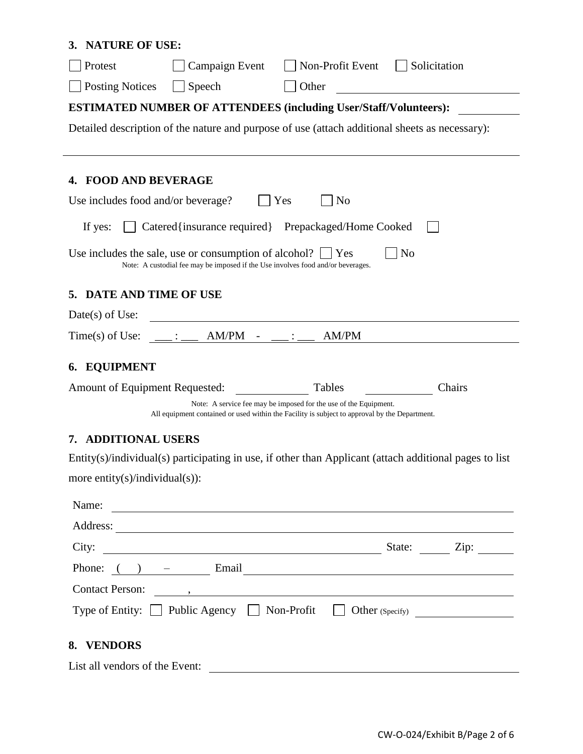| <b>NATURE OF USE:</b><br>3.                                                                    |                                                                                                                                                     |                                                                                                                                                                   |              |  |  |  |  |
|------------------------------------------------------------------------------------------------|-----------------------------------------------------------------------------------------------------------------------------------------------------|-------------------------------------------------------------------------------------------------------------------------------------------------------------------|--------------|--|--|--|--|
| Protest                                                                                        | Campaign Event                                                                                                                                      | Non-Profit Event                                                                                                                                                  | Solicitation |  |  |  |  |
| <b>Posting Notices</b>                                                                         | Speech                                                                                                                                              | Other                                                                                                                                                             |              |  |  |  |  |
| <b>ESTIMATED NUMBER OF ATTENDEES (including User/Staff/Volunteers):</b>                        |                                                                                                                                                     |                                                                                                                                                                   |              |  |  |  |  |
| Detailed description of the nature and purpose of use (attach additional sheets as necessary): |                                                                                                                                                     |                                                                                                                                                                   |              |  |  |  |  |
|                                                                                                |                                                                                                                                                     |                                                                                                                                                                   |              |  |  |  |  |
| <b>FOOD AND BEVERAGE</b><br>4.                                                                 |                                                                                                                                                     |                                                                                                                                                                   |              |  |  |  |  |
| Use includes food and/or beverage?                                                             |                                                                                                                                                     | Yes<br>N <sub>o</sub>                                                                                                                                             |              |  |  |  |  |
| If yes:                                                                                        |                                                                                                                                                     | Catered{insurance required} Prepackaged/Home Cooked                                                                                                               |              |  |  |  |  |
|                                                                                                |                                                                                                                                                     | <b>No</b>                                                                                                                                                         |              |  |  |  |  |
|                                                                                                | Use includes the sale, use or consumption of alcohol? $\Box$ Yes<br>Note: A custodial fee may be imposed if the Use involves food and/or beverages. |                                                                                                                                                                   |              |  |  |  |  |
| 5. DATE AND TIME OF USE                                                                        |                                                                                                                                                     |                                                                                                                                                                   |              |  |  |  |  |
| Date(s) of Use:                                                                                |                                                                                                                                                     |                                                                                                                                                                   |              |  |  |  |  |
|                                                                                                | Time(s) of Use: ___: ___ AM/PM - __:                                                                                                                | AM/PM                                                                                                                                                             |              |  |  |  |  |
| 6. EQUIPMENT                                                                                   |                                                                                                                                                     |                                                                                                                                                                   |              |  |  |  |  |
| Amount of Equipment Requested:                                                                 |                                                                                                                                                     | Tables                                                                                                                                                            | Chairs       |  |  |  |  |
|                                                                                                |                                                                                                                                                     | Note: A service fee may be imposed for the use of the Equipment.<br>All equipment contained or used within the Facility is subject to approval by the Department. |              |  |  |  |  |
| <b>ADDITIONAL USERS</b><br>7.                                                                  |                                                                                                                                                     |                                                                                                                                                                   |              |  |  |  |  |
|                                                                                                |                                                                                                                                                     | Entity(s)/individual(s) participating in use, if other than Applicant (attach additional pages to list                                                            |              |  |  |  |  |
| more entity(s)/individual(s)):                                                                 |                                                                                                                                                     |                                                                                                                                                                   |              |  |  |  |  |
|                                                                                                |                                                                                                                                                     |                                                                                                                                                                   |              |  |  |  |  |
|                                                                                                |                                                                                                                                                     | Name:                                                                                                                                                             |              |  |  |  |  |
|                                                                                                |                                                                                                                                                     |                                                                                                                                                                   |              |  |  |  |  |
|                                                                                                |                                                                                                                                                     | Phone: $( )$ $-$ Email Email $\overline{\phantom{a}}$                                                                                                             |              |  |  |  |  |
|                                                                                                |                                                                                                                                                     |                                                                                                                                                                   |              |  |  |  |  |
|                                                                                                |                                                                                                                                                     | Type of Entity: D Public Agency D Non-Profit D Other (Specify) _________________                                                                                  |              |  |  |  |  |
|                                                                                                |                                                                                                                                                     |                                                                                                                                                                   |              |  |  |  |  |
| 8. VENDORS                                                                                     |                                                                                                                                                     |                                                                                                                                                                   |              |  |  |  |  |
| List all vendors of the Event:                                                                 |                                                                                                                                                     |                                                                                                                                                                   |              |  |  |  |  |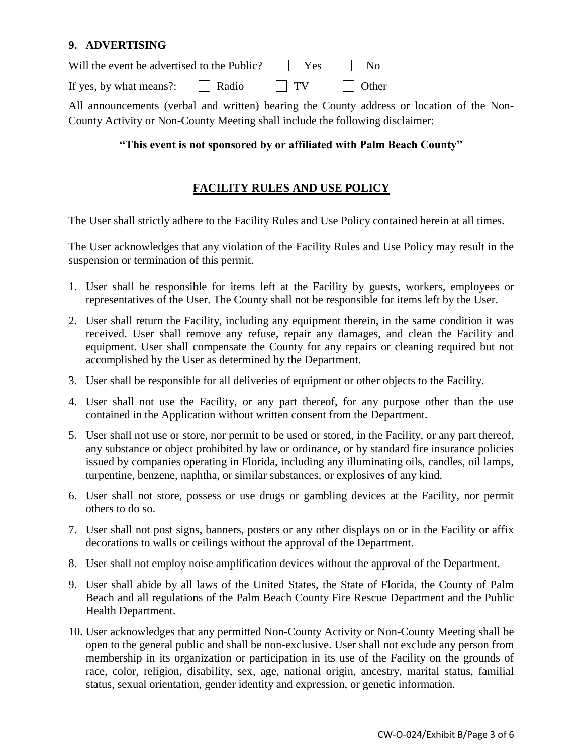### **9. ADVERTISING**

| Will the event be advertised to the Public? | $\blacksquare$ Yes | $\mathsf{N}_0$ |  |
|---------------------------------------------|--------------------|----------------|--|
| If yes, by what means?:     Radio           | $\blacksquare$ TV  | Other          |  |

All announcements (verbal and written) bearing the County address or location of the Non-County Activity or Non-County Meeting shall include the following disclaimer:

### **"This event is not sponsored by or affiliated with Palm Beach County"**

## **FACILITY RULES AND USE POLICY**

The User shall strictly adhere to the Facility Rules and Use Policy contained herein at all times.

The User acknowledges that any violation of the Facility Rules and Use Policy may result in the suspension or termination of this permit.

- 1. User shall be responsible for items left at the Facility by guests, workers, employees or representatives of the User. The County shall not be responsible for items left by the User.
- 2. User shall return the Facility, including any equipment therein, in the same condition it was received. User shall remove any refuse, repair any damages, and clean the Facility and equipment. User shall compensate the County for any repairs or cleaning required but not accomplished by the User as determined by the Department.
- 3. User shall be responsible for all deliveries of equipment or other objects to the Facility.
- 4. User shall not use the Facility, or any part thereof, for any purpose other than the use contained in the Application without written consent from the Department.
- 5. User shall not use or store, nor permit to be used or stored, in the Facility, or any part thereof, any substance or object prohibited by law or ordinance, or by standard fire insurance policies issued by companies operating in Florida, including any illuminating oils, candles, oil lamps, turpentine, benzene, naphtha, or similar substances, or explosives of any kind.
- 6. User shall not store, possess or use drugs or gambling devices at the Facility, nor permit others to do so.
- 7. User shall not post signs, banners, posters or any other displays on or in the Facility or affix decorations to walls or ceilings without the approval of the Department.
- 8. User shall not employ noise amplification devices without the approval of the Department.
- 9. User shall abide by all laws of the United States, the State of Florida, the County of Palm Beach and all regulations of the Palm Beach County Fire Rescue Department and the Public Health Department.
- 10. User acknowledges that any permitted Non-County Activity or Non-County Meeting shall be open to the general public and shall be non-exclusive. User shall not exclude any person from membership in its organization or participation in its use of the Facility on the grounds of race, color, religion, disability, sex, age, national origin, ancestry, marital status, familial status, sexual orientation, gender identity and expression, or genetic information.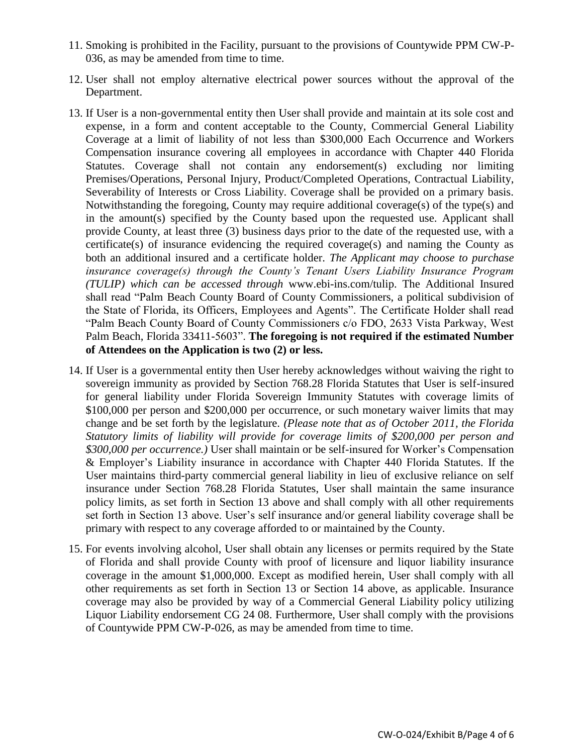- 11. Smoking is prohibited in the Facility, pursuant to the provisions of Countywide PPM CW-P-036, as may be amended from time to time.
- 12. User shall not employ alternative electrical power sources without the approval of the Department.
- 13. If User is a non-governmental entity then User shall provide and maintain at its sole cost and expense, in a form and content acceptable to the County, Commercial General Liability Coverage at a limit of liability of not less than \$300,000 Each Occurrence and Workers Compensation insurance covering all employees in accordance with Chapter 440 Florida Statutes. Coverage shall not contain any endorsement(s) excluding nor limiting Premises/Operations, Personal Injury, Product/Completed Operations, Contractual Liability, Severability of Interests or Cross Liability. Coverage shall be provided on a primary basis. Notwithstanding the foregoing, County may require additional coverage(s) of the type(s) and in the amount(s) specified by the County based upon the requested use. Applicant shall provide County, at least three (3) business days prior to the date of the requested use, with a certificate(s) of insurance evidencing the required coverage(s) and naming the County as both an additional insured and a certificate holder. *The Applicant may choose to purchase insurance coverage(s) through the County's Tenant Users Liability Insurance Program (TULIP) which can be accessed through* www.ebi-ins.com/tulip. The Additional Insured shall read "Palm Beach County Board of County Commissioners, a political subdivision of the State of Florida, its Officers, Employees and Agents". The Certificate Holder shall read "Palm Beach County Board of County Commissioners c/o FDO, 2633 Vista Parkway, West Palm Beach, Florida 33411-5603". **The foregoing is not required if the estimated Number of Attendees on the Application is two (2) or less.**
- 14. If User is a governmental entity then User hereby acknowledges without waiving the right to sovereign immunity as provided by Section 768.28 Florida Statutes that User is self-insured for general liability under Florida Sovereign Immunity Statutes with coverage limits of \$100,000 per person and \$200,000 per occurrence, or such monetary waiver limits that may change and be set forth by the legislature. *(Please note that as of October 2011, the Florida Statutory limits of liability will provide for coverage limits of \$200,000 per person and \$300,000 per occurrence.)* User shall maintain or be self-insured for Worker's Compensation & Employer's Liability insurance in accordance with Chapter 440 Florida Statutes. If the User maintains third-party commercial general liability in lieu of exclusive reliance on self insurance under Section 768.28 Florida Statutes, User shall maintain the same insurance policy limits, as set forth in Section 13 above and shall comply with all other requirements set forth in Section 13 above. User's self insurance and/or general liability coverage shall be primary with respect to any coverage afforded to or maintained by the County.
- 15. For events involving alcohol, User shall obtain any licenses or permits required by the State of Florida and shall provide County with proof of licensure and liquor liability insurance coverage in the amount \$1,000,000. Except as modified herein, User shall comply with all other requirements as set forth in Section 13 or Section 14 above, as applicable. Insurance coverage may also be provided by way of a Commercial General Liability policy utilizing Liquor Liability endorsement CG 24 08. Furthermore, User shall comply with the provisions of Countywide PPM CW-P-026, as may be amended from time to time.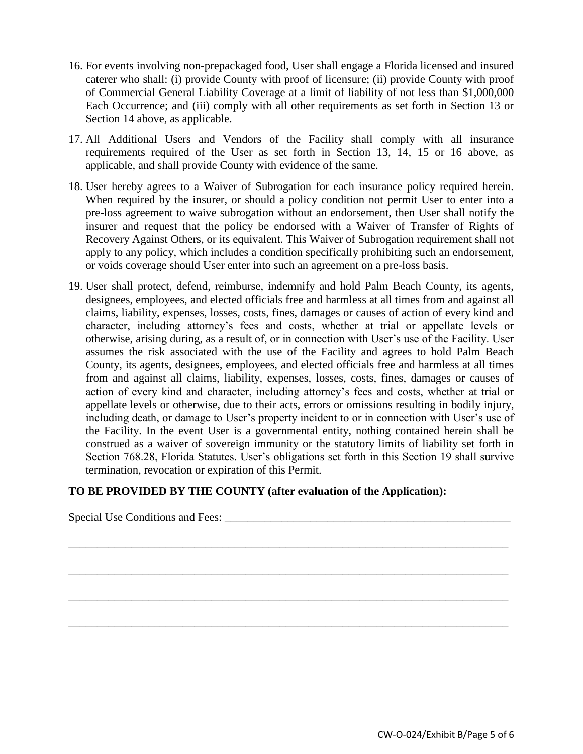- 16. For events involving non-prepackaged food, User shall engage a Florida licensed and insured caterer who shall: (i) provide County with proof of licensure; (ii) provide County with proof of Commercial General Liability Coverage at a limit of liability of not less than \$1,000,000 Each Occurrence; and (iii) comply with all other requirements as set forth in Section 13 or Section 14 above, as applicable.
- 17. All Additional Users and Vendors of the Facility shall comply with all insurance requirements required of the User as set forth in Section 13, 14, 15 or 16 above, as applicable, and shall provide County with evidence of the same.
- 18. User hereby agrees to a Waiver of Subrogation for each insurance policy required herein. When required by the insurer, or should a policy condition not permit User to enter into a pre-loss agreement to waive subrogation without an endorsement, then User shall notify the insurer and request that the policy be endorsed with a Waiver of Transfer of Rights of Recovery Against Others, or its equivalent. This Waiver of Subrogation requirement shall not apply to any policy, which includes a condition specifically prohibiting such an endorsement, or voids coverage should User enter into such an agreement on a pre-loss basis.
- 19. User shall protect, defend, reimburse, indemnify and hold Palm Beach County, its agents, designees, employees, and elected officials free and harmless at all times from and against all claims, liability, expenses, losses, costs, fines, damages or causes of action of every kind and character, including attorney's fees and costs, whether at trial or appellate levels or otherwise, arising during, as a result of, or in connection with User's use of the Facility. User assumes the risk associated with the use of the Facility and agrees to hold Palm Beach County, its agents, designees, employees, and elected officials free and harmless at all times from and against all claims, liability, expenses, losses, costs, fines, damages or causes of action of every kind and character, including attorney's fees and costs, whether at trial or appellate levels or otherwise, due to their acts, errors or omissions resulting in bodily injury, including death, or damage to User's property incident to or in connection with User's use of the Facility. In the event User is a governmental entity, nothing contained herein shall be construed as a waiver of sovereign immunity or the statutory limits of liability set forth in Section 768.28, Florida Statutes. User's obligations set forth in this Section 19 shall survive termination, revocation or expiration of this Permit.

#### **TO BE PROVIDED BY THE COUNTY (after evaluation of the Application):**

Special Use Conditions and Fees: \_\_\_\_\_\_\_\_\_\_\_\_\_\_\_\_\_\_\_\_\_\_\_\_\_\_\_\_\_\_\_\_\_\_\_\_\_\_\_\_\_\_\_\_\_\_\_\_\_\_ \_\_\_\_\_\_\_\_\_\_\_\_\_\_\_\_\_\_\_\_\_\_\_\_\_\_\_\_\_\_\_\_\_\_\_\_\_\_\_\_\_\_\_\_\_\_\_\_\_\_\_\_\_\_\_\_\_\_\_\_\_\_\_\_\_\_\_\_\_\_\_\_\_\_\_\_\_ \_\_\_\_\_\_\_\_\_\_\_\_\_\_\_\_\_\_\_\_\_\_\_\_\_\_\_\_\_\_\_\_\_\_\_\_\_\_\_\_\_\_\_\_\_\_\_\_\_\_\_\_\_\_\_\_\_\_\_\_\_\_\_\_\_\_\_\_\_\_\_\_\_\_\_\_\_ \_\_\_\_\_\_\_\_\_\_\_\_\_\_\_\_\_\_\_\_\_\_\_\_\_\_\_\_\_\_\_\_\_\_\_\_\_\_\_\_\_\_\_\_\_\_\_\_\_\_\_\_\_\_\_\_\_\_\_\_\_\_\_\_\_\_\_\_\_\_\_\_\_\_\_\_\_ \_\_\_\_\_\_\_\_\_\_\_\_\_\_\_\_\_\_\_\_\_\_\_\_\_\_\_\_\_\_\_\_\_\_\_\_\_\_\_\_\_\_\_\_\_\_\_\_\_\_\_\_\_\_\_\_\_\_\_\_\_\_\_\_\_\_\_\_\_\_\_\_\_\_\_\_\_